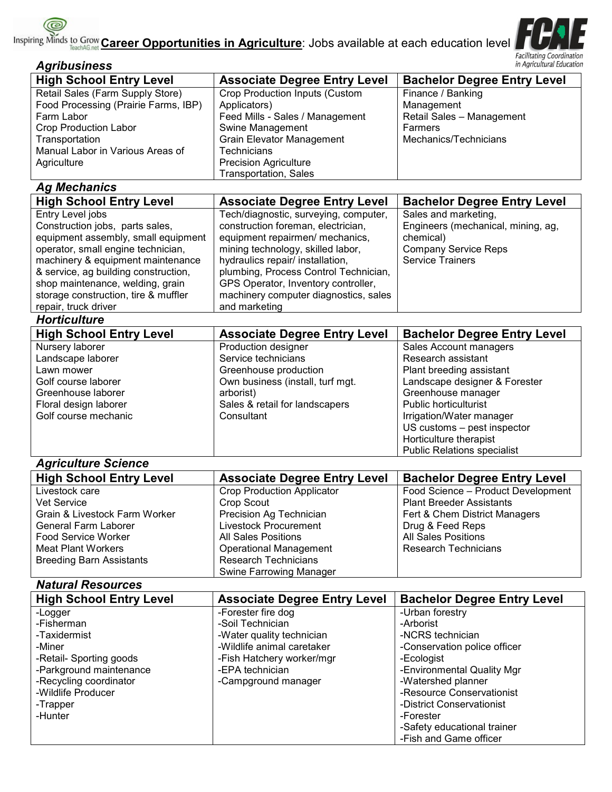**Career Opportunities in Agriculture**: Jobs available at each education level



| <b>Facilitating Coordination</b><br>in Agricultural Education<br><b>Agribusiness</b>                                                                                                                                                                                                                              |                                                                                                                                                                                                                                                                                                                                   |                                                                                                                                                                                                                                                                                            |  |  |
|-------------------------------------------------------------------------------------------------------------------------------------------------------------------------------------------------------------------------------------------------------------------------------------------------------------------|-----------------------------------------------------------------------------------------------------------------------------------------------------------------------------------------------------------------------------------------------------------------------------------------------------------------------------------|--------------------------------------------------------------------------------------------------------------------------------------------------------------------------------------------------------------------------------------------------------------------------------------------|--|--|
| <b>High School Entry Level</b>                                                                                                                                                                                                                                                                                    | <b>Associate Degree Entry Level</b>                                                                                                                                                                                                                                                                                               | <b>Bachelor Degree Entry Level</b>                                                                                                                                                                                                                                                         |  |  |
| Retail Sales (Farm Supply Store)<br>Food Processing (Prairie Farms, IBP)<br>Farm Labor<br><b>Crop Production Labor</b><br>Transportation<br>Manual Labor in Various Areas of<br>Agriculture                                                                                                                       | <b>Crop Production Inputs (Custom</b><br>Applicators)<br>Feed Mills - Sales / Management<br>Swine Management<br>Grain Elevator Management<br><b>Technicians</b><br><b>Precision Agriculture</b><br><b>Transportation, Sales</b>                                                                                                   | Finance / Banking<br>Management<br>Retail Sales - Management<br>Farmers<br>Mechanics/Technicians                                                                                                                                                                                           |  |  |
| <b>Ag Mechanics</b>                                                                                                                                                                                                                                                                                               |                                                                                                                                                                                                                                                                                                                                   |                                                                                                                                                                                                                                                                                            |  |  |
| <b>High School Entry Level</b>                                                                                                                                                                                                                                                                                    | <b>Associate Degree Entry Level</b>                                                                                                                                                                                                                                                                                               | <b>Bachelor Degree Entry Level</b>                                                                                                                                                                                                                                                         |  |  |
| Entry Level jobs<br>Construction jobs, parts sales,<br>equipment assembly, small equipment<br>operator, small engine technician,<br>machinery & equipment maintenance<br>& service, ag building construction,<br>shop maintenance, welding, grain<br>storage construction, tire & muffler<br>repair, truck driver | Tech/diagnostic, surveying, computer,<br>construction foreman, electrician,<br>equipment repairmen/ mechanics,<br>mining technology, skilled labor,<br>hydraulics repair/ installation,<br>plumbing, Process Control Technician,<br>GPS Operator, Inventory controller,<br>machinery computer diagnostics, sales<br>and marketing | Sales and marketing,<br>Engineers (mechanical, mining, ag,<br>chemical)<br><b>Company Service Reps</b><br><b>Service Trainers</b>                                                                                                                                                          |  |  |
| <b>Horticulture</b>                                                                                                                                                                                                                                                                                               |                                                                                                                                                                                                                                                                                                                                   |                                                                                                                                                                                                                                                                                            |  |  |
| <b>High School Entry Level</b>                                                                                                                                                                                                                                                                                    | <b>Associate Degree Entry Level</b>                                                                                                                                                                                                                                                                                               | <b>Bachelor Degree Entry Level</b>                                                                                                                                                                                                                                                         |  |  |
| Nursery laborer<br>Landscape laborer<br>Lawn mower<br>Golf course laborer<br>Greenhouse laborer<br>Floral design laborer<br>Golf course mechanic                                                                                                                                                                  | Production designer<br>Service technicians<br>Greenhouse production<br>Own business (install, turf mgt.<br>arborist)<br>Sales & retail for landscapers<br>Consultant                                                                                                                                                              | Sales Account managers<br>Research assistant<br>Plant breeding assistant<br>Landscape designer & Forester<br>Greenhouse manager<br><b>Public horticulturist</b><br>Irrigation/Water manager<br>US customs - pest inspector<br>Horticulture therapist<br><b>Public Relations specialist</b> |  |  |
| <b>Agriculture Science</b>                                                                                                                                                                                                                                                                                        |                                                                                                                                                                                                                                                                                                                                   |                                                                                                                                                                                                                                                                                            |  |  |
| <b>High School Entry Level</b><br>Livestock care<br>Vet Service<br>Grain & Livestock Farm Worker<br>General Farm Laborer<br><b>Food Service Worker</b><br><b>Meat Plant Workers</b><br><b>Breeding Barn Assistants</b><br><b>Natural Resources</b>                                                                | <b>Associate Degree Entry Level</b><br><b>Crop Production Applicator</b><br>Crop Scout<br>Precision Ag Technician<br>Livestock Procurement<br><b>All Sales Positions</b><br><b>Operational Management</b><br><b>Research Technicians</b><br>Swine Farrowing Manager                                                               | <b>Bachelor Degree Entry Level</b><br>Food Science - Product Development<br><b>Plant Breeder Assistants</b><br>Fert & Chem District Managers<br>Drug & Feed Reps<br>All Sales Positions<br><b>Research Technicians</b>                                                                     |  |  |

| <b>High School Entry Level</b> | <b>Associate Degree Entry Level</b> | <b>Bachelor Degree Entry Level</b> |
|--------------------------------|-------------------------------------|------------------------------------|
| -Logger                        | -Forester fire dog                  | -Urban forestry                    |
| -Fisherman                     | -Soil Technician                    | -Arborist                          |
| -Taxidermist                   | -Water quality technician           | -NCRS technician                   |
| -Miner                         | -Wildlife animal caretaker          | -Conservation police officer       |
| -Retail- Sporting goods        | -Fish Hatchery worker/mgr           | -Ecologist                         |
| -Parkground maintenance        | -EPA technician                     | -Environmental Quality Mgr         |
| -Recycling coordinator         | -Campground manager                 | -Watershed planner                 |
| -Wildlife Producer             |                                     | -Resource Conservationist          |
| -Trapper                       |                                     | -District Conservationist          |
| -Hunter                        |                                     | -Forester                          |
|                                |                                     | -Safety educational trainer        |
|                                |                                     | -Fish and Game officer             |